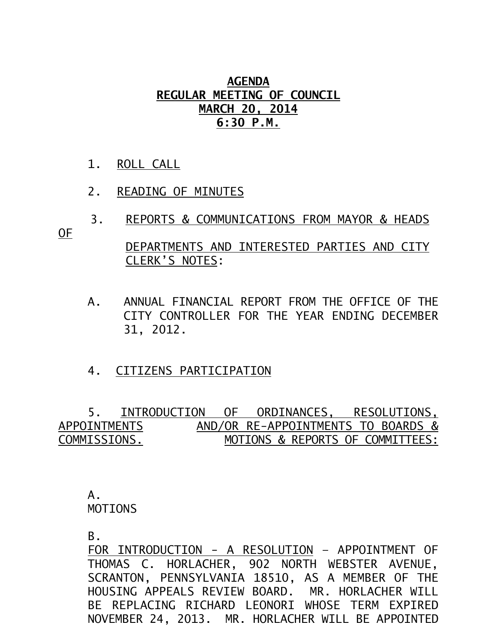## **AGENDA REGULAR MEETING OF COUNCIL MARCH 20, 2014 6:30 P.M.**

- 1. ROLL CALL
- 2. READING OF MINUTES
- 3. REPORTS & COMMUNICATIONS FROM MAYOR & HEADS

OF

## DEPARTMENTS AND INTERESTED PARTIES AND CITY CLERK'S NOTES:

- A. ANNUAL FINANCIAL REPORT FROM THE OFFICE OF THE CITY CONTROLLER FOR THE YEAR ENDING DECEMBER 31, 2012.
- 4. CITIZENS PARTICIPATION

 5. INTRODUCTION OF ORDINANCES, RESOLUTIONS, APPOINTMENTSAND/OR RE-APPOINTMENTS TO BOARDS & COMMISSIONS. MOTIONS & REPORTS OF COMMITTEES:

 A. MOTIONS

B.

FOR INTRODUCTION - A RESOLUTION – APPOINTMENT OF THOMAS C. HORLACHER, 902 NORTH WEBSTER AVENUE, SCRANTON, PENNSYLVANIA 18510, AS A MEMBER OF THE HOUSING APPEALS REVIEW BOARD. MR. HORLACHER WILL BE REPLACING RICHARD LEONORI WHOSE TERM EXPIRED NOVEMBER 24, 2013. MR. HORLACHER WILL BE APPOINTED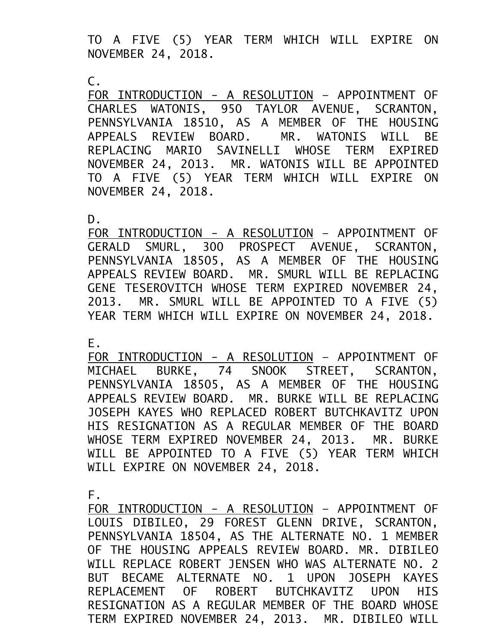TO A FIVE (5) YEAR TERM WHICH WILL EXPIRE ON NOVEMBER 24, 2018.

 $\mathsf{C}$ .

FOR INTRODUCTION - A RESOLUTION – APPOINTMENT OF CHARLES WATONIS, 950 TAYLOR AVENUE, SCRANTON, PENNSYLVANIA 18510, AS A MEMBER OF THE HOUSING APPEALS REVIEW BOARD. MR. WATONIS WILL BE REPLACING MARIO SAVINELLI WHOSE TERM EXPIRED NOVEMBER 24, 2013. MR. WATONIS WILL BE APPOINTED TO A FIVE (5) YEAR TERM WHICH WILL EXPIRE ON NOVEMBER 24, 2018.

D.

FOR INTRODUCTION - A RESOLUTION – APPOINTMENT OF GERALD SMURL, 300 PROSPECT AVENUE, SCRANTON, PENNSYLVANIA 18505, AS A MEMBER OF THE HOUSING APPEALS REVIEW BOARD. MR. SMURL WILL BE REPLACING GENE TESEROVITCH WHOSE TERM EXPIRED NOVEMBER 24, 2013. MR. SMURL WILL BE APPOINTED TO A FIVE (5) YEAR TERM WHICH WILL EXPIRE ON NOVEMBER 24, 2018.

E.

FOR INTRODUCTION - A RESOLUTION – APPOINTMENT OF MICHAEL BURKE, 74 SNOOK STREET, SCRANTON, PENNSYLVANIA 18505, AS A MEMBER OF THE HOUSING APPEALS REVIEW BOARD. MR. BURKE WILL BE REPLACING JOSEPH KAYES WHO REPLACED ROBERT BUTCHKAVITZ UPON HIS RESIGNATION AS A REGULAR MEMBER OF THE BOARD WHOSE TERM EXPIRED NOVEMBER 24, 2013. MR. BURKE WILL BE APPOINTED TO A FIVE (5) YEAR TERM WHICH WILL EXPIRE ON NOVEMBER 24, 2018.

F.

FOR INTRODUCTION - A RESOLUTION – APPOINTMENT OF LOUIS DIBILEO, 29 FOREST GLENN DRIVE, SCRANTON, PENNSYLVANIA 18504, AS THE ALTERNATE NO. 1 MEMBER OF THE HOUSING APPEALS REVIEW BOARD. MR. DIBILEO WILL REPLACE ROBERT JENSEN WHO WAS ALTERNATE NO. 2 BUT BECAME ALTERNATE NO. 1 UPON JOSEPH KAYES REPLACEMENT OF ROBERT BUTCHKAVITZ UPON HIS RESIGNATION AS A REGULAR MEMBER OF THE BOARD WHOSE TERM EXPIRED NOVEMBER 24, 2013. MR. DIBILEO WILL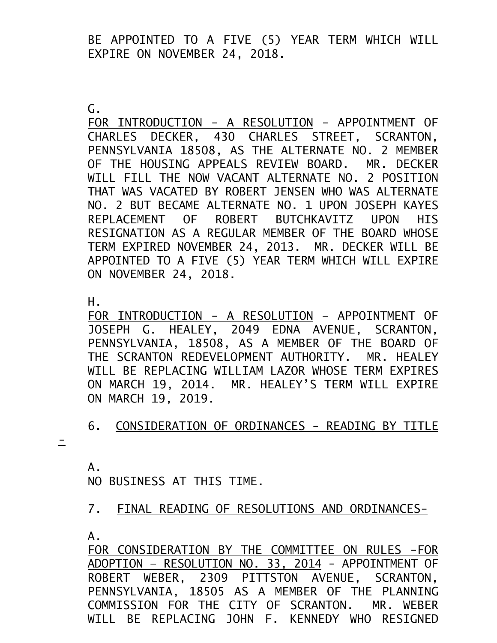BE APPOINTED TO A FIVE (5) YEAR TERM WHICH WILL EXPIRE ON NOVEMBER 24, 2018.

G.

FOR INTRODUCTION - A RESOLUTION - APPOINTMENT OF CHARLES DECKER, 430 CHARLES STREET, SCRANTON, PENNSYLVANIA 18508, AS THE ALTERNATE NO. 2 MEMBER OF THE HOUSING APPEALS REVIEW BOARD. MR. DECKER WILL FILL THE NOW VACANT ALTERNATE NO. 2 POSITION THAT WAS VACATED BY ROBERT JENSEN WHO WAS ALTERNATE NO. 2 BUT BECAME ALTERNATE NO. 1 UPON JOSEPH KAYES REPLACEMENT OF ROBERT BUTCHKAVITZ UPON HIS RESIGNATION AS A REGULAR MEMBER OF THE BOARD WHOSE TERM EXPIRED NOVEMBER 24, 2013. MR. DECKER WILL BE APPOINTED TO A FIVE (5) YEAR TERM WHICH WILL EXPIRE ON NOVEMBER 24, 2018.

H.

FOR INTRODUCTION - A RESOLUTION – APPOINTMENT OF JOSEPH G. HEALEY, 2049 EDNA AVENUE, SCRANTON, PENNSYLVANIA, 18508, AS A MEMBER OF THE BOARD OF THE SCRANTON REDEVELOPMENT AUTHORITY. MR. HEALEY WILL BE REPLACING WILLIAM LAZOR WHOSE TERM EXPIRES ON MARCH 19, 2014. MR. HEALEY'S TERM WILL EXPIRE ON MARCH 19, 2019.

6. CONSIDERATION OF ORDINANCES - READING BY TITLE

 $\equiv$ 

A. NO BUSINESS AT THIS TIME.

7. FINAL READING OF RESOLUTIONS AND ORDINANCES-

A.

FOR CONSIDERATION BY THE COMMITTEE ON RULES -FOR ADOPTION – RESOLUTION NO. 33, 2014 - APPOINTMENT OF ROBERT WEBER, 2309 PITTSTON AVENUE, SCRANTON, PENNSYLVANIA, 18505 AS A MEMBER OF THE PLANNING COMMISSION FOR THE CITY OF SCRANTON. MR. WEBER WILL BE REPLACING JOHN F. KENNEDY WHO RESIGNED